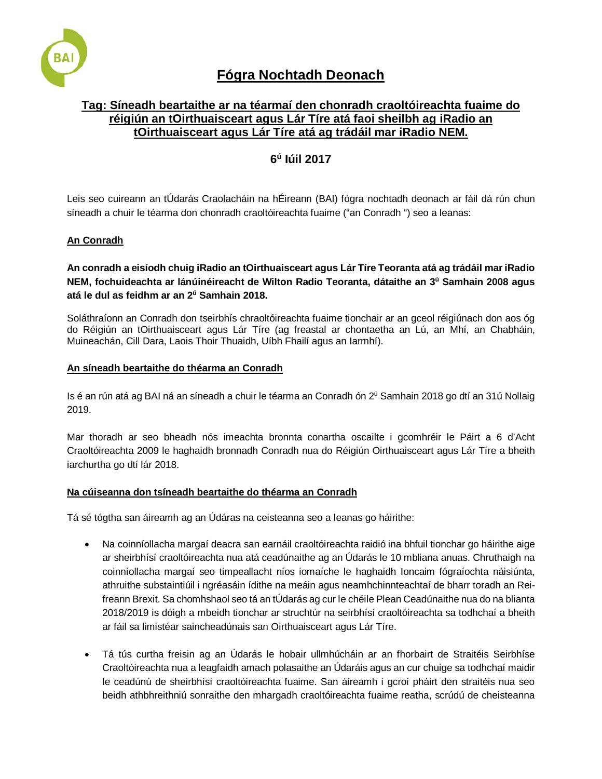

# **Fógra Nochtadh Deonach**

# **Tag: Síneadh beartaithe ar na téarmaí den chonradh craoltóireachta fuaime do réigiún an tOirthuaisceart agus Lár Tíre atá faoi sheilbh ag iRadio an tOirthuaisceart agus Lár Tíre atá ag trádáil mar iRadio NEM.**

# **6<sup>ú</sup> Iúil 2017**

Leis seo cuireann an tÚdarás Craolacháin na hÉireann (BAI) fógra nochtadh deonach ar fáil dá rún chun síneadh a chuir le téarma don chonradh craoltóireachta fuaime ("an Conradh ") seo a leanas:

## **An Conradh**

**An conradh a eisíodh chuig iRadio an tOirthuaisceart agus Lár Tíre Teoranta atá ag trádáil mar iRadio NEM, fochuideachta ar lánúinéireacht de Wilton Radio Teoranta, dátaithe an 3ú Samhain 2008 agus atá le dul as feidhm ar an 2ú Samhain 2018.** 

Soláthraíonn an Conradh don tseirbhís chraoltóireachta fuaime tionchair ar an gceol réigiúnach don aos óg do Réigiún an tOirthuaisceart agus Lár Tíre (ag freastal ar chontaetha an Lú, an Mhí, an Chabháin, Muineachán, Cill Dara, Laois Thoir Thuaidh, Uíbh Fhailí agus an Iarmhí).

## **An síneadh beartaithe do théarma an Conradh**

Is é an rún atá ag BAI ná an síneadh a chuir le téarma an Conradh ón 2<sup>ú</sup> Samhain 2018 go dtí an 31ú Nollaig 2019.

Mar thoradh ar seo bheadh nós imeachta bronnta conartha oscailte i gcomhréir le Páirt a 6 d'Acht Craoltóireachta 2009 le haghaidh bronnadh Conradh nua do Réigiún Oirthuaisceart agus Lár Tíre a bheith iarchurtha go dtí lár 2018.

## **Na cúiseanna don tsíneadh beartaithe do théarma an Conradh**

Tá sé tógtha san áireamh ag an Údáras na ceisteanna seo a leanas go háirithe:

- Na coinníollacha margaí deacra san earnáil craoltóireachta raidió ina bhfuil tionchar go háirithe aige ar sheirbhísí craoltóireachta nua atá ceadúnaithe ag an Údarás le 10 mbliana anuas. Chruthaigh na coinníollacha margaí seo timpeallacht níos iomaíche le haghaidh Ioncaim fógraíochta náisiúnta, athruithe substaintiúil i ngréasáin ídithe na meáin agus neamhchinnteachtaí de bharr toradh an Reifreann Brexit. Sa chomhshaol seo tá an tÚdarás ag cur le chéile Plean Ceadúnaithe nua do na blianta 2018/2019 is dóigh a mbeidh tionchar ar struchtúr na seirbhísí craoltóireachta sa todhchaí a bheith ar fáil sa limistéar saincheadúnais san Oirthuaisceart agus Lár Tíre.
- Tá tús curtha freisin ag an Údarás le hobair ullmhúcháin ar an fhorbairt de Straitéis Seirbhíse Craoltóireachta nua a leagfaidh amach polasaithe an Údaráis agus an cur chuige sa todhchaí maidir le ceadúnú de sheirbhísí craoltóireachta fuaime. San áireamh i gcroí pháirt den straitéis nua seo beidh athbhreithniú sonraithe den mhargadh craoltóireachta fuaime reatha, scrúdú de cheisteanna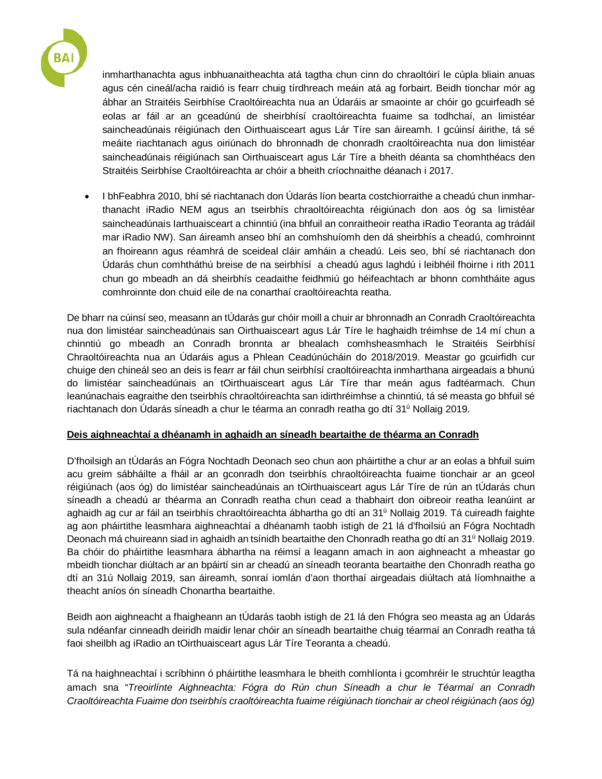

inmharthanachta agus inbhuanaitheachta atá tagtha chun cinn do chraoltóirí le cúpla bliain anuas agus cén cineál/acha raidió is fearr chuig tírdhreach meáin atá ag forbairt. Beidh tionchar mór ag ábhar an Straitéis Seirbhíse Craoltóireachta nua an Údaráis ar smaointe ar chóir go gcuirfeadh sé eolas ar fáil ar an gceadúnú de sheirbhísí craoltóireachta fuaime sa todhchaí, an limistéar saincheadúnais réigiúnach den Oirthuaisceart agus Lár Tíre san áireamh. I gcúinsí áirithe, tá sé meáite riachtanach agus oiriúnach do bhronnadh de chonradh craoltóireachta nua don limistéar saincheadúnais réigiúnach san Oirthuaisceart agus Lár Tíre a bheith déanta sa chomhthéacs den Straitéis Seirbhíse Craoltóireachta ar chóir a bheith críochnaithe déanach i 2017.

• I bhFeabhra 2010, bhí sé riachtanach don Údarás líon bearta costchiorraithe a cheadú chun inmharthanacht iRadio NEM agus an tseirbhís chraoltóireachta réigiúnach don aos óg sa limistéar saincheadúnais Iarthuaisceart a chinntiú (ina bhfuil an conraitheoir reatha iRadio Teoranta ag trádáil mar iRadio NW). San áireamh anseo bhí an comhshuíomh den dá sheirbhís a cheadú, comhroinnt an fhoireann agus réamhrá de sceideal cláir amháin a cheadú. Leis seo, bhí sé riachtanach don Údarás chun comhtháthú breise de na seirbhísí a cheadú agus laghdú i leibhéil fhoirne i rith 2011 chun go mbeadh an dá sheirbhís ceadaithe feidhmiú go héifeachtach ar bhonn comhtháite agus comhroinnte don chuid eile de na conarthaí craoltóireachta reatha.

De bharr na cúinsí seo, measann an tÚdarás gur chóir moill a chuir ar bhronnadh an Conradh Craoltóireachta nua don limistéar saincheadúnais san Oirthuaisceart agus Lár Tíre le haghaidh tréimhse de 14 mí chun a chinntiú go mbeadh an Conradh bronnta ar bhealach comhsheasmhach le Straitéis Seirbhísí Chraoltóireachta nua an Údaráis agus a Phlean Ceadúnúcháin do 2018/2019. Meastar go gcuirfidh cur chuige den chineál seo an deis is fearr ar fáil chun seirbhísí craoltóireachta inmharthana airgeadais a bhunú do limistéar saincheadúnais an tOirthuaisceart agus Lár Tíre thar meán agus fadtéarmach. Chun leanúnachais eagraithe den tseirbhís chraoltóireachta san idirthréimhse a chinntiú, tá sé measta go bhfuil sé riachtanach don Údarás síneadh a chur le téarma an conradh reatha go dtí 31ú Nollaig 2019.

## **Deis aighneachtaí a dhéanamh in aghaidh an síneadh beartaithe de théarma an Conradh**

D'fhoilsigh an tÚdarás an Fógra Nochtadh Deonach seo chun aon pháirtithe a chur ar an eolas a bhfuil suim acu greim sábháilte a fháil ar an gconradh don tseirbhís chraoltóireachta fuaime tionchair ar an gceol réigiúnach (aos óg) do limistéar saincheadúnais an tOirthuaisceart agus Lár Tíre de rún an tÚdarás chun síneadh a cheadú ar théarma an Conradh reatha chun cead a thabhairt don oibreoir reatha leanúint ar aghaidh ag cur ar fáil an tseirbhís chraoltóireachta ábhartha go dtí an 31<sup>ú</sup> Nollaig 2019. Tá cuireadh faighte ag aon pháirtithe leasmhara aighneachtaí a dhéanamh taobh istigh de 21 lá d'fhoilsiú an Fógra Nochtadh Deonach má chuireann siad in aghaidh an tsínidh beartaithe den Chonradh reatha go dtí an 31ú Nollaig 2019. Ba chóir do pháirtithe leasmhara ábhartha na réimsí a leagann amach in aon aighneacht a mheastar go mbeidh tionchar diúltach ar an bpáirtí sin ar cheadú an síneadh teoranta beartaithe den Chonradh reatha go dtí an 31ú Nollaig 2019, san áireamh, sonraí iomlán d'aon thorthaí airgeadais diúltach atá líomhnaithe a theacht aníos ón síneadh Chonartha beartaithe.

Beidh aon aighneacht a fhaigheann an tÚdarás taobh istigh de 21 lá den Fhógra seo measta ag an Údarás sula ndéanfar cinneadh deiridh maidir lenar chóir an síneadh beartaithe chuig téarmaí an Conradh reatha tá faoi sheilbh ag iRadio an tOirthuaisceart agus Lár Tíre Teoranta a cheadú.

Tá na haighneachtaí i scríbhinn ó pháirtithe leasmhara le bheith comhlíonta i gcomhréir le struchtúr leagtha amach sna "*Treoirlínte Aighneachta: Fógra do Rún chun Síneadh a chur le Téarmaí an Conradh Craoltóireachta Fuaime don tseirbhís craoltóireachta fuaime réigiúnach tionchair ar cheol réigiúnach (aos óg)*